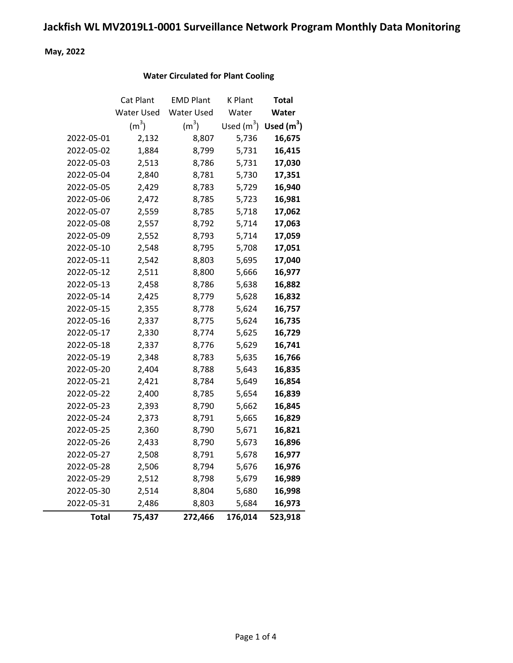## Jackfish WL MV2019L1-0001 Surveillance Network Program Monthly Data Monitoring

May, 2022

#### Water Circulated for Plant Cooling

|            | Cat Plant         | <b>EMD Plant</b>  | K Plant      | Total        |
|------------|-------------------|-------------------|--------------|--------------|
|            | Water Used        | <b>Water Used</b> | Water        | Water        |
|            | (m <sup>3</sup> ) | (m <sup>3</sup> ) | Used $(m^3)$ | Used $(m^3)$ |
| 2022-05-01 | 2,132             | 8,807             | 5,736        | 16,675       |
| 2022-05-02 | 1,884             | 8,799             | 5,731        | 16,415       |
| 2022-05-03 | 2,513             | 8,786             | 5,731        | 17,030       |
| 2022-05-04 | 2,840             | 8,781             | 5,730        | 17,351       |
| 2022-05-05 | 2,429             | 8,783             | 5,729        | 16,940       |
| 2022-05-06 | 2,472             | 8,785             | 5,723        | 16,981       |
| 2022-05-07 | 2,559             | 8,785             | 5,718        | 17,062       |
| 2022-05-08 | 2,557             | 8,792             | 5,714        | 17,063       |
| 2022-05-09 | 2,552             | 8,793             | 5,714        | 17,059       |
| 2022-05-10 | 2,548             | 8,795             | 5,708        | 17,051       |
| 2022-05-11 | 2,542             | 8,803             | 5,695        | 17,040       |
| 2022-05-12 | 2,511             | 8,800             | 5,666        | 16,977       |
| 2022-05-13 | 2,458             | 8,786             | 5,638        | 16,882       |
| 2022-05-14 | 2,425             | 8,779             | 5,628        | 16,832       |
| 2022-05-15 | 2,355             | 8,778             | 5,624        | 16,757       |
| 2022-05-16 | 2,337             | 8,775             | 5,624        | 16,735       |
| 2022-05-17 | 2,330             | 8,774             | 5,625        | 16,729       |
| 2022-05-18 | 2,337             | 8,776             | 5,629        | 16,741       |
| 2022-05-19 | 2,348             | 8,783             | 5,635        | 16,766       |
| 2022-05-20 | 2,404             | 8,788             | 5,643        | 16,835       |
| 2022-05-21 | 2,421             | 8,784             | 5,649        | 16,854       |
| 2022-05-22 | 2,400             | 8,785             | 5,654        | 16,839       |
| 2022-05-23 | 2,393             | 8,790             | 5,662        | 16,845       |
| 2022-05-24 | 2,373             | 8,791             | 5,665        | 16,829       |
| 2022-05-25 | 2,360             | 8,790             | 5,671        | 16,821       |
| 2022-05-26 | 2,433             | 8,790             | 5,673        | 16,896       |
| 2022-05-27 | 2,508             | 8,791             | 5,678        | 16,977       |
| 2022-05-28 | 2,506             | 8,794             | 5,676        | 16,976       |
| 2022-05-29 | 2,512             | 8,798             | 5,679        | 16,989       |
| 2022-05-30 | 2,514             | 8,804             | 5,680        | 16,998       |
| 2022-05-31 | 2,486             | 8,803             | 5,684        | 16,973       |
| Total      | 75,437            | 272,466           | 176,014      | 523,918      |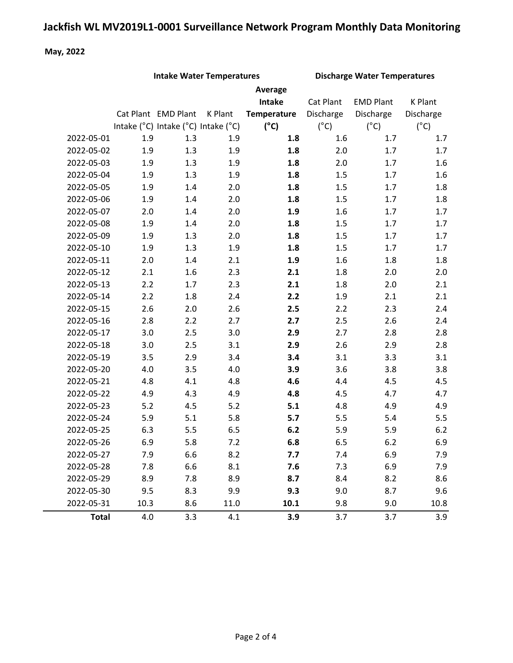# Jackfish WL MV2019L1-0001 Surveillance Network Program Monthly Data Monitoring

#### May, 2022

| <b>Intake Water Temperatures</b> |      | <b>Discharge Water Temperatures</b> |         |                    |               |                  |               |
|----------------------------------|------|-------------------------------------|---------|--------------------|---------------|------------------|---------------|
|                                  |      |                                     |         | Average            |               |                  |               |
|                                  |      |                                     |         | <b>Intake</b>      | Cat Plant     | <b>EMD Plant</b> | K Plant       |
|                                  |      | Cat Plant EMD Plant                 | K Plant | <b>Temperature</b> | Discharge     | Discharge        | Discharge     |
|                                  |      | Intake (°C) Intake (°C) Intake (°C) |         | $(^{\circ}C)$      | $(^{\circ}C)$ | $(^{\circ}C)$    | $(^{\circ}C)$ |
| 2022-05-01                       | 1.9  | 1.3                                 | 1.9     | 1.8                | 1.6           | 1.7              | 1.7           |
| 2022-05-02                       | 1.9  | 1.3                                 | 1.9     | 1.8                | 2.0           | 1.7              | 1.7           |
| 2022-05-03                       | 1.9  | 1.3                                 | 1.9     | 1.8                | 2.0           | 1.7              | 1.6           |
| 2022-05-04                       | 1.9  | 1.3                                 | 1.9     | 1.8                | 1.5           | 1.7              | 1.6           |
| 2022-05-05                       | 1.9  | 1.4                                 | 2.0     | 1.8                | 1.5           | 1.7              | 1.8           |
| 2022-05-06                       | 1.9  | 1.4                                 | 2.0     | $1.8\,$            | 1.5           | 1.7              | 1.8           |
| 2022-05-07                       | 2.0  | 1.4                                 | 2.0     | 1.9                | 1.6           | 1.7              | 1.7           |
| 2022-05-08                       | 1.9  | 1.4                                 | 2.0     | 1.8                | 1.5           | 1.7              | 1.7           |
| 2022-05-09                       | 1.9  | 1.3                                 | 2.0     | 1.8                | 1.5           | 1.7              | 1.7           |
| 2022-05-10                       | 1.9  | 1.3                                 | 1.9     | 1.8                | 1.5           | 1.7              | 1.7           |
| 2022-05-11                       | 2.0  | 1.4                                 | 2.1     | 1.9                | 1.6           | 1.8              | 1.8           |
| 2022-05-12                       | 2.1  | 1.6                                 | 2.3     | 2.1                | 1.8           | 2.0              | 2.0           |
| 2022-05-13                       | 2.2  | 1.7                                 | 2.3     | 2.1                | 1.8           | 2.0              | 2.1           |
| 2022-05-14                       | 2.2  | 1.8                                 | 2.4     | 2.2                | 1.9           | 2.1              | 2.1           |
| 2022-05-15                       | 2.6  | 2.0                                 | 2.6     | 2.5                | 2.2           | 2.3              | 2.4           |
| 2022-05-16                       | 2.8  | 2.2                                 | 2.7     | 2.7                | 2.5           | 2.6              | 2.4           |
| 2022-05-17                       | 3.0  | 2.5                                 | 3.0     | 2.9                | 2.7           | 2.8              | 2.8           |
| 2022-05-18                       | 3.0  | 2.5                                 | 3.1     | 2.9                | 2.6           | 2.9              | 2.8           |
| 2022-05-19                       | 3.5  | 2.9                                 | 3.4     | 3.4                | 3.1           | 3.3              | 3.1           |
| 2022-05-20                       | 4.0  | 3.5                                 | 4.0     | 3.9                | 3.6           | 3.8              | 3.8           |
| 2022-05-21                       | 4.8  | 4.1                                 | 4.8     | 4.6                | 4.4           | 4.5              | 4.5           |
| 2022-05-22                       | 4.9  | 4.3                                 | 4.9     | 4.8                | 4.5           | 4.7              | 4.7           |
| 2022-05-23                       | 5.2  | 4.5                                 | 5.2     | 5.1                | 4.8           | 4.9              | 4.9           |
| 2022-05-24                       | 5.9  | 5.1                                 | 5.8     | 5.7                | 5.5           | 5.4              | 5.5           |
| 2022-05-25                       | 6.3  | 5.5                                 | 6.5     | 6.2                | 5.9           | 5.9              | 6.2           |
| 2022-05-26                       | 6.9  | 5.8                                 | 7.2     | 6.8                | 6.5           | 6.2              | 6.9           |
| 2022-05-27                       | 7.9  | 6.6                                 | 8.2     | 7.7                | 7.4           | 6.9              | 7.9           |
| 2022-05-28                       | 7.8  | 6.6                                 | 8.1     | 7.6                | 7.3           | 6.9              | 7.9           |
| 2022-05-29                       | 8.9  | 7.8                                 | 8.9     | 8.7                | 8.4           | 8.2              | 8.6           |
| 2022-05-30                       | 9.5  | 8.3                                 | 9.9     | 9.3                | 9.0           | 8.7              | 9.6           |
| 2022-05-31                       | 10.3 | 8.6                                 | 11.0    | 10.1               | 9.8           | 9.0              | 10.8          |
| <b>Total</b>                     | 4.0  | 3.3                                 | 4.1     | 3.9                | 3.7           | 3.7              | 3.9           |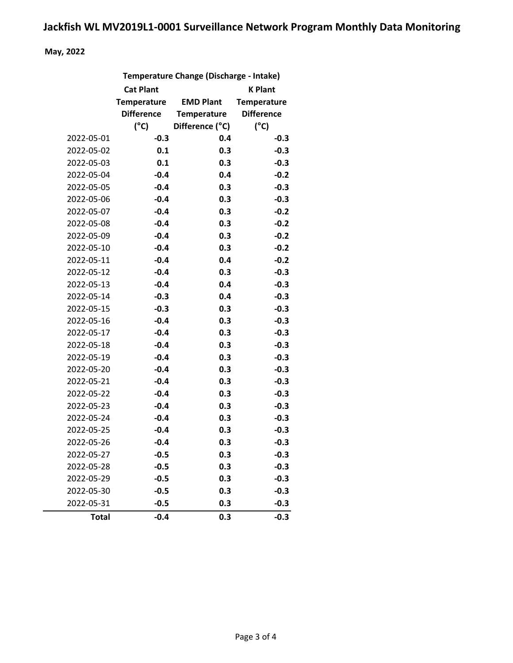#### May, 2022

|              | Temperature Change (Discharge - Intake) |                  |                    |  |  |  |
|--------------|-----------------------------------------|------------------|--------------------|--|--|--|
|              | <b>Cat Plant</b><br><b>K Plant</b>      |                  |                    |  |  |  |
|              | <b>Temperature</b>                      | <b>EMD Plant</b> | <b>Temperature</b> |  |  |  |
|              | <b>Difference</b>                       | Temperature      | <b>Difference</b>  |  |  |  |
|              | $(^{\circ}C)$                           | Difference (°C)  | $(^{\circ}C)$      |  |  |  |
| 2022-05-01   | $-0.3$                                  | 0.4              | $-0.3$             |  |  |  |
| 2022-05-02   | 0.1                                     | 0.3              | $-0.3$             |  |  |  |
| 2022-05-03   | 0.1                                     | 0.3              | $-0.3$             |  |  |  |
| 2022-05-04   | $-0.4$                                  | 0.4              | $-0.2$             |  |  |  |
| 2022-05-05   | $-0.4$                                  | 0.3              | $-0.3$             |  |  |  |
| 2022-05-06   | $-0.4$                                  | 0.3              | $-0.3$             |  |  |  |
| 2022-05-07   | $-0.4$                                  | 0.3              | $-0.2$             |  |  |  |
| 2022-05-08   | $-0.4$                                  | 0.3              | $-0.2$             |  |  |  |
| 2022-05-09   | $-0.4$                                  | 0.3              | $-0.2$             |  |  |  |
| 2022-05-10   | $-0.4$                                  | 0.3              | $-0.2$             |  |  |  |
| 2022-05-11   | $-0.4$                                  | 0.4              | $-0.2$             |  |  |  |
| 2022-05-12   | $-0.4$                                  | 0.3              | $-0.3$             |  |  |  |
| 2022-05-13   | $-0.4$                                  | 0.4              | $-0.3$             |  |  |  |
| 2022-05-14   | $-0.3$                                  | 0.4              | $-0.3$             |  |  |  |
| 2022-05-15   | $-0.3$                                  | 0.3              | $-0.3$             |  |  |  |
| 2022-05-16   | $-0.4$                                  | 0.3              | $-0.3$             |  |  |  |
| 2022-05-17   | $-0.4$                                  | 0.3              | $-0.3$             |  |  |  |
| 2022-05-18   | $-0.4$                                  | 0.3              | $-0.3$             |  |  |  |
| 2022-05-19   | $-0.4$                                  | 0.3              | $-0.3$             |  |  |  |
| 2022-05-20   | $-0.4$                                  | 0.3              | $-0.3$             |  |  |  |
| 2022-05-21   | $-0.4$                                  | 0.3              | $-0.3$             |  |  |  |
| 2022-05-22   | $-0.4$                                  | 0.3              | $-0.3$             |  |  |  |
| 2022-05-23   | $-0.4$                                  | 0.3              | $-0.3$             |  |  |  |
| 2022-05-24   | $-0.4$                                  | 0.3              | $-0.3$             |  |  |  |
| 2022-05-25   | $-0.4$                                  | 0.3              | $-0.3$             |  |  |  |
| 2022-05-26   | $-0.4$                                  | 0.3              | $-0.3$             |  |  |  |
| 2022-05-27   | $-0.5$                                  | 0.3              | $-0.3$             |  |  |  |
| 2022-05-28   | $-0.5$                                  | 0.3              | $-0.3$             |  |  |  |
| 2022-05-29   | $-0.5$                                  | 0.3              | $-0.3$             |  |  |  |
| 2022-05-30   | $-0.5$                                  | 0.3              | $-0.3$             |  |  |  |
| 2022-05-31   | $-0.5$                                  | 0.3              | $-0.3$             |  |  |  |
| <b>Total</b> | $-0.4$                                  | 0.3              | $-0.3$             |  |  |  |